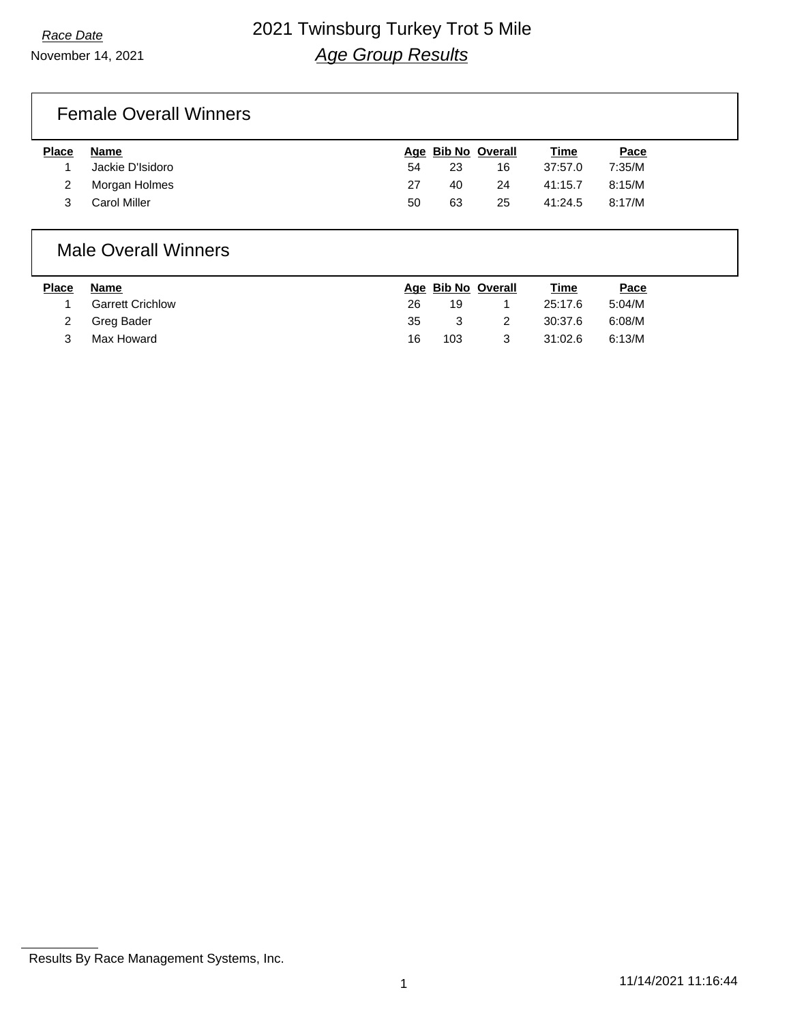## Female Overall Winners

| <b>Place</b> | Name             |    |    | Age Bib No Overall | Time    | Pace   |
|--------------|------------------|----|----|--------------------|---------|--------|
|              | Jackie D'Isidoro | 54 | 23 | 16                 | 37:57.0 | 7:35/M |
|              | Morgan Holmes    | 27 | 40 | 24                 | 41:15.7 | 8:15/M |
|              | Carol Miller     | 50 | 63 | 25                 | 41:24.5 | 8:17/M |

### Male Overall Winners

| <b>Place</b> | Name                    |    | Age Bib No Overall |   | Time    | Pace   |
|--------------|-------------------------|----|--------------------|---|---------|--------|
|              | <b>Garrett Crichlow</b> | 26 | 19                 |   | 25:17.6 | 5:04/M |
|              | 2 Greg Bader            | 35 | $\mathcal{B}$      |   | 30:37.6 | 6:08/M |
|              | Max Howard              | 16 | 103                | 3 | 31:02.6 | 6:13/M |

Results By Race Management Systems, Inc.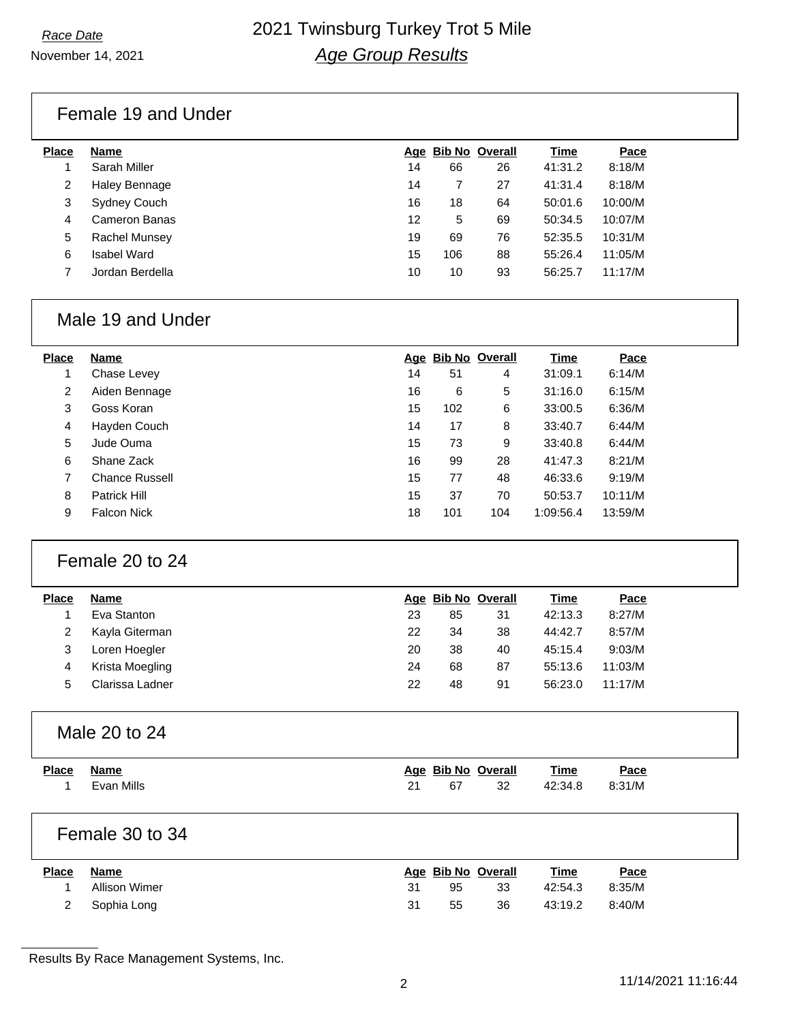## Female 19 and Under

| <b>Place</b> | Name                 |    | Age Bib No Overall |    | Time    | Pace    |
|--------------|----------------------|----|--------------------|----|---------|---------|
|              | Sarah Miller         | 14 | 66                 | 26 | 41:31.2 | 8:18/M  |
| 2            | <b>Haley Bennage</b> | 14 |                    | 27 | 41:31.4 | 8:18/M  |
| 3            | <b>Sydney Couch</b>  | 16 | 18                 | 64 | 50:01.6 | 10:00/M |
| 4            | Cameron Banas        | 12 | 5                  | 69 | 50:34.5 | 10:07/M |
| 5            | <b>Rachel Munsey</b> | 19 | 69                 | 76 | 52:35.5 | 10:31/M |
| 6            | Isabel Ward          | 15 | 106                | 88 | 55:26.4 | 11:05/M |
|              | Jordan Berdella      | 10 | 10                 | 93 | 56:25.7 | 11:17/M |
|              |                      |    |                    |    |         |         |

## Male 19 and Under

| <b>Place</b> | Name                  |    | Age Bib No Overall |     | <b>Time</b> | Pace    |
|--------------|-----------------------|----|--------------------|-----|-------------|---------|
|              | Chase Levey           | 14 | 51                 | 4   | 31:09.1     | 6:14/M  |
| 2            | Aiden Bennage         | 16 | 6                  | 5   | 31:16.0     | 6:15/M  |
| 3            | Goss Koran            | 15 | 102                | 6   | 33:00.5     | 6:36/M  |
| 4            | Hayden Couch          | 14 | 17                 | 8   | 33:40.7     | 6:44/M  |
| 5            | Jude Ouma             | 15 | 73                 | 9   | 33:40.8     | 6:44/M  |
| 6            | Shane Zack            | 16 | 99                 | 28  | 41:47.3     | 8:21/M  |
| 7            | <b>Chance Russell</b> | 15 | 77                 | 48  | 46:33.6     | 9:19/M  |
| 8            | <b>Patrick Hill</b>   | 15 | 37                 | 70  | 50:53.7     | 10:11/M |
| 9            | <b>Falcon Nick</b>    | 18 | 101                | 104 | 1:09:56.4   | 13:59/M |

## Female 20 to 24

| Name            |    |    |    | <b>Time</b>        | Pace    |
|-----------------|----|----|----|--------------------|---------|
| Eva Stanton     | 23 | 85 | 31 | 42:13.3            | 8:27/M  |
| Kayla Giterman  | 22 | 34 | 38 | 44:42.7            | 8:57/M  |
| Loren Hoegler   | 20 | 38 | 40 | 45:15.4            | 9:03/M  |
| Krista Moegling | 24 | 68 | 87 | 55:13.6            | 11:03/M |
| Clarissa Ladner | 22 | 48 | 91 | 56:23.0            | 11:17/M |
|                 |    |    |    | Age Bib No Overall |         |

## Male 20 to 24

| <b>Place</b> | <b>Name</b><br>Evan Mills | 21 | 67 | Age Bib No Overall<br>32 | <u>Time</u><br>42:34.8 | Pace<br>8:31/M |  |
|--------------|---------------------------|----|----|--------------------------|------------------------|----------------|--|
|              | Female 30 to 34           |    |    |                          |                        |                |  |

| <b>Place</b> | Name          |    | Age Bib No Overall |    | <b>Time</b> | Pace   |  |
|--------------|---------------|----|--------------------|----|-------------|--------|--|
|              | Allison Wimer | 31 | 95                 | 33 | 42:54.3     | 8:35/M |  |
|              | Sophia Long   | 31 | 55                 | 36 | 43:19.2     | 8:40/M |  |

Results By Race Management Systems, Inc.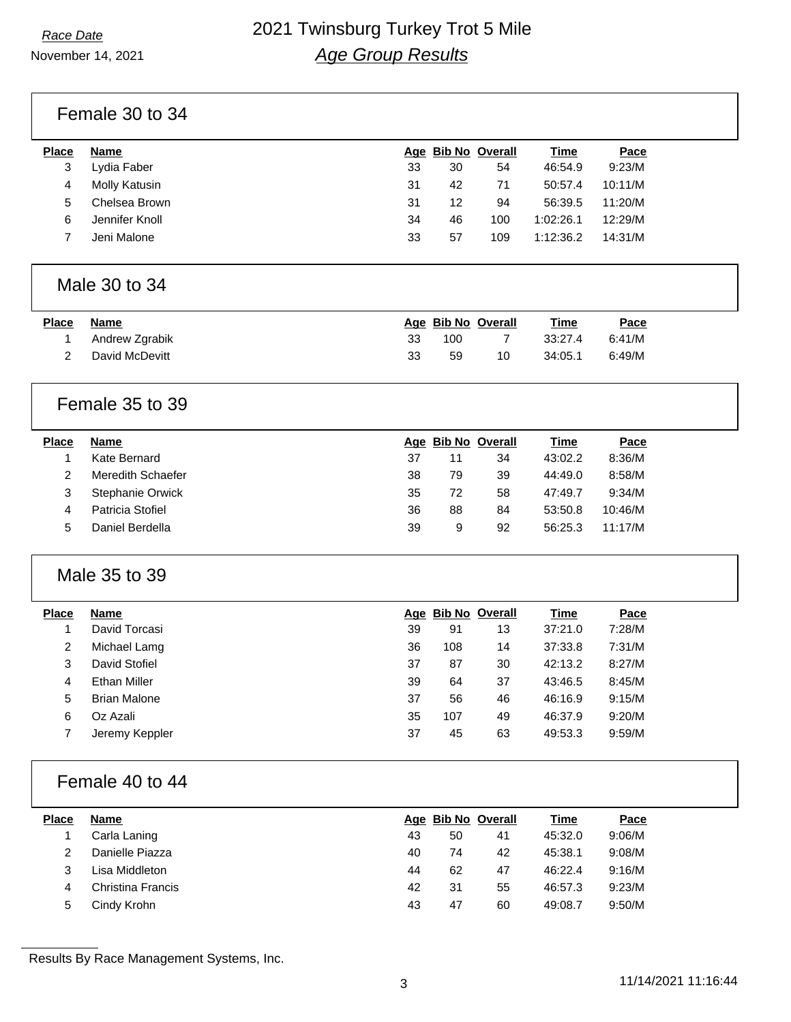November 14, 2021

## *Race Date* 2021 Twinsburg Turkey Trot 5 Mile *Age Group Results*

Female 30 to 34

| <b>Place</b> | Name           |    |    | Age Bib No Overall | <b>Time</b> | Pace    |
|--------------|----------------|----|----|--------------------|-------------|---------|
| 3            | Lydia Faber    | 33 | 30 | 54                 | 46:54.9     | 9:23/M  |
| 4            | Molly Katusin  | 31 | 42 | 71                 | 50:57.4     | 10:11/M |
| 5            | Chelsea Brown  | 31 | 12 | 94                 | 56:39.5     | 11:20/M |
| 6            | Jennifer Knoll | 34 | 46 | 100                | 1:02:26.1   | 12:29/M |
|              | Jeni Malone    | 33 | 57 | 109                | 1:12:36.2   | 14:31/M |
|              |                |    |    |                    |             |         |

## Male 30 to 34

| Place | Name           |    | Age Bib No Overall |    | Time    | Pace   |
|-------|----------------|----|--------------------|----|---------|--------|
|       | Andrew Zgrabik | 33 | 100                |    | 33:27.4 | 6:41/M |
|       | David McDevitt | 33 | 59                 | 10 | 34:05.1 | 6:49/M |

## Female 35 to 39

| <b>Place</b> | <b>Name</b>       |    | Age Bib No Overall |    | <b>Time</b> | Pace    |
|--------------|-------------------|----|--------------------|----|-------------|---------|
|              | Kate Bernard      | 37 | 11                 | 34 | 43:02.2     | 8:36/M  |
|              | Meredith Schaefer | 38 | 79                 | 39 | 44:49.0     | 8:58/M  |
| З            | Stephanie Orwick  | 35 | 72                 | 58 | 47:49.7     | 9:34/M  |
| 4            | Patricia Stofiel  | 36 | 88                 | 84 | 53:50.8     | 10:46/M |
| 5            | Daniel Berdella   | 39 | 9                  | 92 | 56:25.3     | 11:17/M |
|              |                   |    |                    |    |             |         |

## Male 35 to 39

| <b>Place</b> | Name                |    |     | Age Bib No Overall | Time    | Pace   |
|--------------|---------------------|----|-----|--------------------|---------|--------|
|              | David Torcasi       | 39 | 91  | 13                 | 37:21.0 | 7:28/M |
| 2            | Michael Lamg        | 36 | 108 | 14                 | 37:33.8 | 7:31/M |
| 3            | David Stofiel       | 37 | 87  | 30                 | 42:13.2 | 8:27/M |
| 4            | Ethan Miller        | 39 | 64  | 37                 | 43:46.5 | 8:45/M |
| 5            | <b>Brian Malone</b> | 37 | 56  | 46                 | 46:16.9 | 9:15/M |
| 6            | Oz Azali            | 35 | 107 | 49                 | 46:37.9 | 9:20/M |
|              | Jeremy Keppler      | 37 | 45  | 63                 | 49:53.3 | 9:59/M |

## Female 40 to 44

| <b>Place</b> | Name              |    | Age Bib No Overall |    | <b>Time</b> | Pace   |
|--------------|-------------------|----|--------------------|----|-------------|--------|
|              | Carla Laning      | 43 | 50                 | 41 | 45:32.0     | 9:06/M |
| 2            | Danielle Piazza   | 40 | 74                 | 42 | 45:38.1     | 9:08/M |
|              | Lisa Middleton    | 44 | 62                 | 47 | 46:22.4     | 9:16/M |
| 4            | Christina Francis | 42 | 31                 | 55 | 46:57.3     | 9:23/M |
| 5            | Cindy Krohn       | 43 | 47                 | 60 | 49:08.7     | 9:50/M |

Results By Race Management Systems, Inc.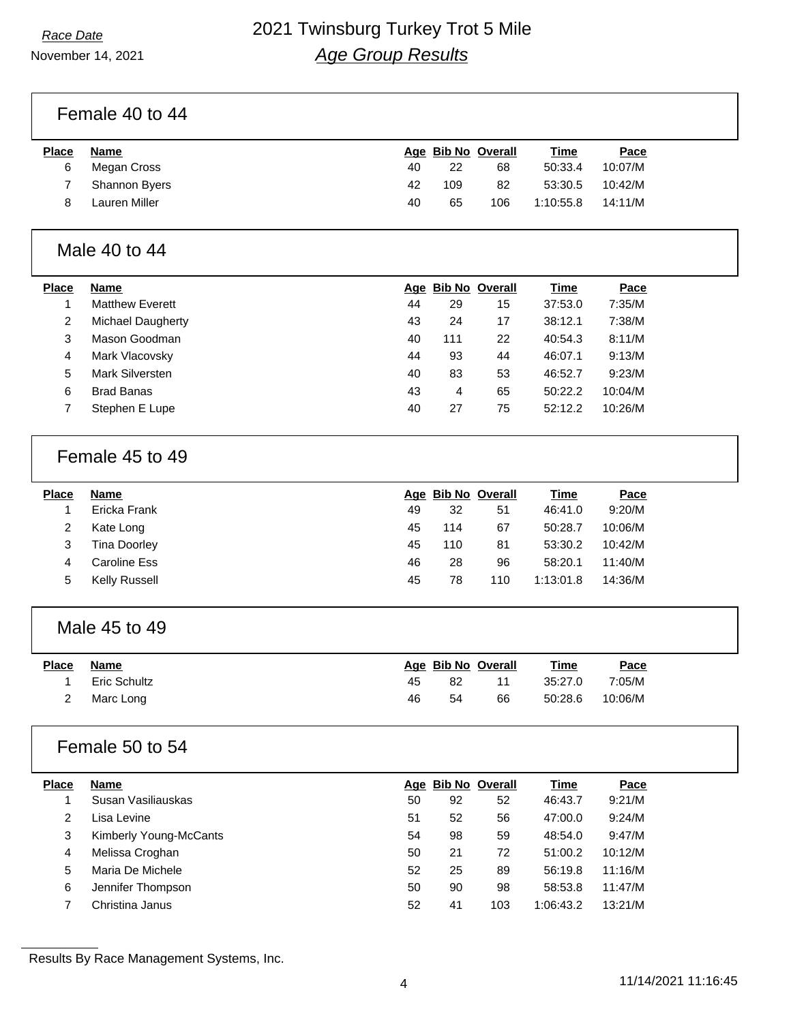November 14, 2021

# *Race Date* 2021 Twinsburg Turkey Trot 5 Mile *Age Group Results*

Female 40 to 44

| <b>Place</b> | Name          |    |     | Age Bib No Overall | <b>Time</b> | Pace    |
|--------------|---------------|----|-----|--------------------|-------------|---------|
| 6            | Megan Cross   | 40 | 22  | 68                 | 50:33.4     | 10:07/M |
|              | Shannon Byers | 42 | 109 | 82                 | 53:30.5     | 10:42/M |
|              | Lauren Miller | 40 | 65  | 106                | 1:10:55.8   | 14:11/M |

#### Male 40 to 44

| <b>Place</b> | Name                   |    |     | Age Bib No Overall | Time    | Pace    |
|--------------|------------------------|----|-----|--------------------|---------|---------|
|              | <b>Matthew Everett</b> | 44 | 29  | 15                 | 37:53.0 | 7:35/M  |
| 2            | Michael Daugherty      | 43 | 24  | 17                 | 38:12.1 | 7:38/M  |
| 3            | Mason Goodman          | 40 | 111 | 22                 | 40:54.3 | 8:11/M  |
| 4            | Mark Vlacovsky         | 44 | 93  | 44                 | 46:07.1 | 9:13/M  |
| 5            | Mark Silversten        | 40 | 83  | 53                 | 46:52.7 | 9:23/M  |
| 6            | <b>Brad Banas</b>      | 43 | 4   | 65                 | 50:22.2 | 10:04/M |
|              | Stephen E Lupe         | 40 | 27  | 75                 | 52:12.2 | 10:26/M |

### Female 45 to 49

| <b>Place</b> | Name          |    | Age Bib No Overall |     | <b>Time</b> | Pace    |
|--------------|---------------|----|--------------------|-----|-------------|---------|
|              | Ericka Frank  | 49 | 32                 | 51  | 46:41.0     | 9:20/M  |
|              | Kate Long     | 45 | 114                | 67  | 50:28.7     | 10:06/M |
|              | Tina Doorley  | 45 | 110                | 81  | 53:30.2     | 10:42/M |
| 4            | Caroline Ess  | 46 | 28                 | 96  | 58:20.1     | 11:40/M |
| 5            | Kelly Russell | 45 | 78                 | 110 | 1:13:01.8   | 14:36/M |

## Male 45 to 49

| <u>Place</u> | Name         |    | Age Bib No Overall |    | <b>Time</b> | <u>Pace</u> |
|--------------|--------------|----|--------------------|----|-------------|-------------|
|              | Eric Schultz | 45 | 82                 |    | 35:27.0     | 7:05/M      |
|              | Marc Long    | 46 | 54                 | 66 | 50:28.6     | 10:06/M     |

## Female 50 to 54

| <b>Place</b> | <b>Name</b>            |    |    | Age Bib No Overall | <u>Time</u> | Pace    |
|--------------|------------------------|----|----|--------------------|-------------|---------|
|              | Susan Vasiliauskas     | 50 | 92 | 52                 | 46:43.7     | 9:21/M  |
| 2            | ∟isa Levine            | 51 | 52 | 56                 | 47:00.0     | 9:24/M  |
| 3            | Kimberly Young-McCants | 54 | 98 | 59                 | 48:54.0     | 9:47/M  |
| 4            | Melissa Croghan        | 50 | 21 | 72                 | 51:00.2     | 10:12/M |
| 5            | Maria De Michele       | 52 | 25 | 89                 | 56:19.8     | 11:16/M |
| 6            | Jennifer Thompson      | 50 | 90 | 98                 | 58:53.8     | 11:47/M |
|              | Christina Janus        | 52 | 41 | 103                | 1:06:43.2   | 13:21/M |

Results By Race Management Systems, Inc.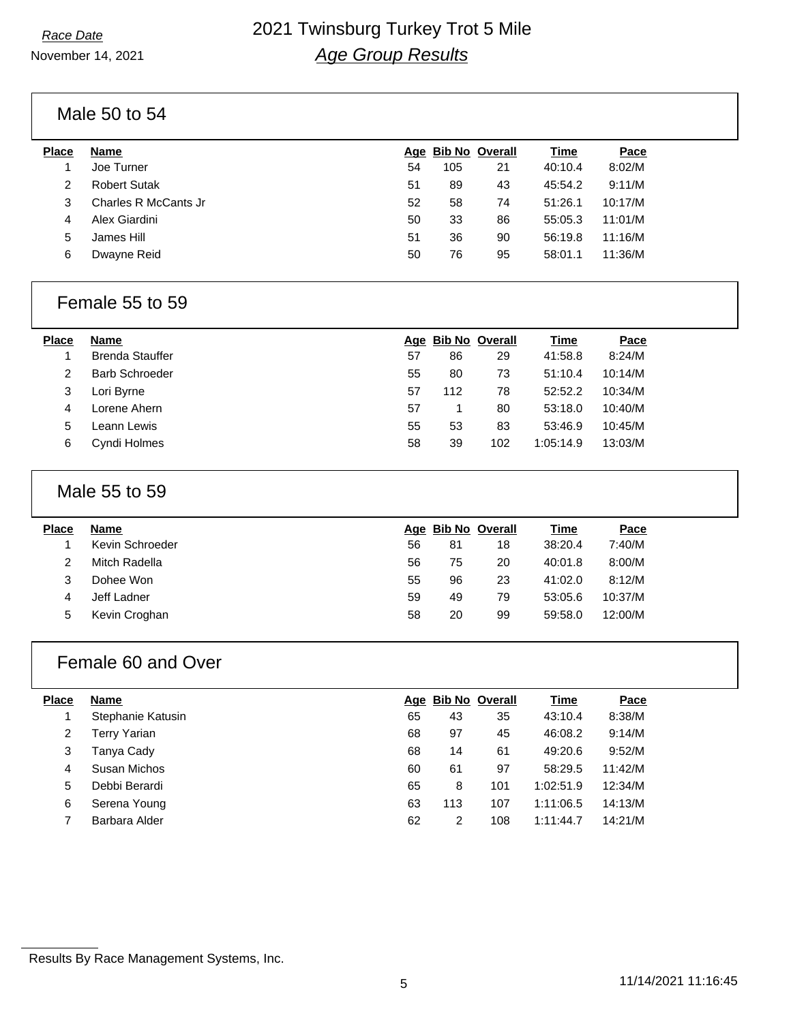November 14, 2021

## *Race Date* 2021 Twinsburg Turkey Trot 5 Mile *Age Group Results*

Male 50 to 54

| Place | Name                 |    |     | Age Bib No Overall | Time    | Pace    |  |
|-------|----------------------|----|-----|--------------------|---------|---------|--|
|       | Joe Turner           | 54 | 105 | 21                 | 40:10.4 | 8:02/M  |  |
| 2     | <b>Robert Sutak</b>  | 51 | 89  | 43                 | 45:54.2 | 9:11/M  |  |
| 3     | Charles R McCants Jr | 52 | 58  | 74                 | 51:26.1 | 10:17/M |  |
| 4     | Alex Giardini        | 50 | 33  | 86                 | 55:05.3 | 11:01/M |  |
| 5     | James Hill           | 51 | 36  | 90                 | 56:19.8 | 11:16/M |  |
| 6     | Dwayne Reid          | 50 | 76  | 95                 | 58:01.1 | 11:36/M |  |
|       |                      |    |     |                    |         |         |  |

#### Female 55 to 59

| Place         | Name                   |    | Age Bib No Overall |     | <b>Time</b> | Pace    |
|---------------|------------------------|----|--------------------|-----|-------------|---------|
|               | <b>Brenda Stauffer</b> | 57 | 86                 | 29  | 41:58.8     | 8:24/M  |
| $\mathcal{P}$ | <b>Barb Schroeder</b>  | 55 | 80                 | 73  | 51:10.4     | 10:14/M |
| 3             | Lori Byrne             | 57 | 112                | 78  | 52:52.2     | 10:34/M |
| 4             | Lorene Ahern           | 57 |                    | 80  | 53:18.0     | 10:40/M |
| 5             | Leann Lewis            | 55 | 53                 | 83  | 53:46.9     | 10:45/M |
| 6             | Cyndi Holmes           | 58 | 39                 | 102 | 1:05:14.9   | 13:03/M |
|               |                        |    |                    |     |             |         |

#### Male 55 to 59

| <b>Place</b> | Name            |    | Age Bib No Overall |    | <b>Time</b> | Pace    |
|--------------|-----------------|----|--------------------|----|-------------|---------|
|              | Kevin Schroeder | 56 | 81                 | 18 | 38:20.4     | 7:40/M  |
|              | Mitch Radella   | 56 | 75                 | 20 | 40:01.8     | 8:00/M  |
|              | Dohee Won       | 55 | 96                 | 23 | 41:02.0     | 8:12/M  |
|              | Jeff Ladner     | 59 | 49                 | 79 | 53:05.6     | 10:37/M |
| 5            | Kevin Croghan   | 58 | 20                 | 99 | 59:58.0     | 12:00/M |

## Female 60 and Over

| <b>Place</b> | <b>Name</b>       |    | Age Bib No Overall |     | Time      | Pace    |
|--------------|-------------------|----|--------------------|-----|-----------|---------|
|              | Stephanie Katusin | 65 | 43                 | 35  | 43:10.4   | 8:38/M  |
| 2            | Terry Yarian      | 68 | 97                 | 45  | 46:08.2   | 9:14/M  |
| 3            | Tanya Cady        | 68 | 14                 | 61  | 49:20.6   | 9:52/M  |
| 4            | Susan Michos      | 60 | 61                 | 97  | 58:29.5   | 11:42/M |
| 5            | Debbi Berardi     | 65 | 8                  | 101 | 1:02:51.9 | 12:34/M |
| 6            | Serena Young      | 63 | 113                | 107 | 1:11:06.5 | 14:13/M |
|              | Barbara Alder     | 62 | 2                  | 108 | 1:11:44.7 | 14:21/M |

Results By Race Management Systems, Inc.